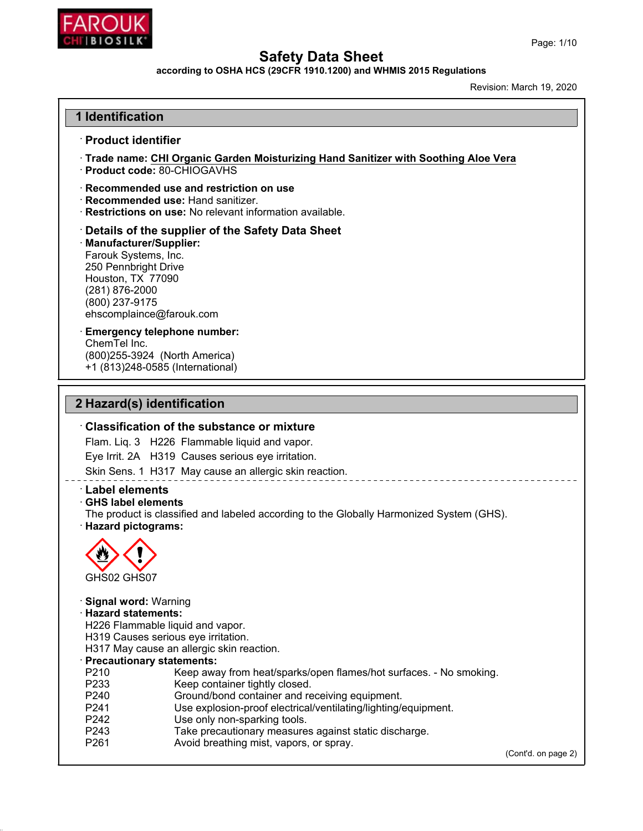

**according to OSHA HCS (29CFR 1910.1200) and WHMIS 2015 Regulations**

Created: March 19, 2020

### **1 Identification**

#### ꞏ **Product identifier**

ꞏ **Trade name: Biosilk Moisturizing Hand Sanitizer with Soothing Aloe Vera** ꞏ

**Product code:** 80-CHIOGAVHS

ꞏ **Recommended use and restriction on use**

- ꞏ **Recommended use:** Hand sanitizer.
- ꞏ **Restrictions on use:** No relevant information available.

ꞏ **Details of the supplier of the Safety Data Sheet** <sup>ꞏ</sup> **Manufacturer/Supplier:** Farouk Systems, Inc. 250 Pennbright Drive Houston, TX 77090 (281) 876-2000 (800) 237-9175 ehscomplaince@farouk.com

#### ꞏ **Emergency telephone number:** ChemTel Inc. (800)255-3924 (North America) +1 (813)248-0585 (International)

### **2 Hazard(s) identification**

#### ꞏ **Classification of the substance or mixture**

Flam. Liq. 3 H226 Flammable liquid and vapor.

Eye Irrit. 2A H319 Causes serious eye irritation.

Skin Sens. 1 H317 May cause an allergic skin reaction.

### ꞏ **Label elements**

#### ꞏ **GHS label elements**

The product is classified and labeled according to the Globally Harmonized System (GHS).

ꞏ **Hazard pictograms:**



ꞏ **Signal word:** Warning ꞏ **Hazard statements:** H226 Flammable liquid and vapor. H319 Causes serious eye irritation. H317 May cause an allergic skin reaction. ꞏ **Precautionary statements:** P210 Keep away from heat/sparks/open flames/hot surfaces. - No smoking. P233 Keep container tightly closed. P240 Ground/bond container and receiving equipment. P241 Use explosion-proof electrical/ventilating/lighting/equipment. P242 Use only non-sparking tools. P243 Take precautionary measures against static discharge. P261 Avoid breathing mist, vapors, or spray. (Cont'd. on page 2)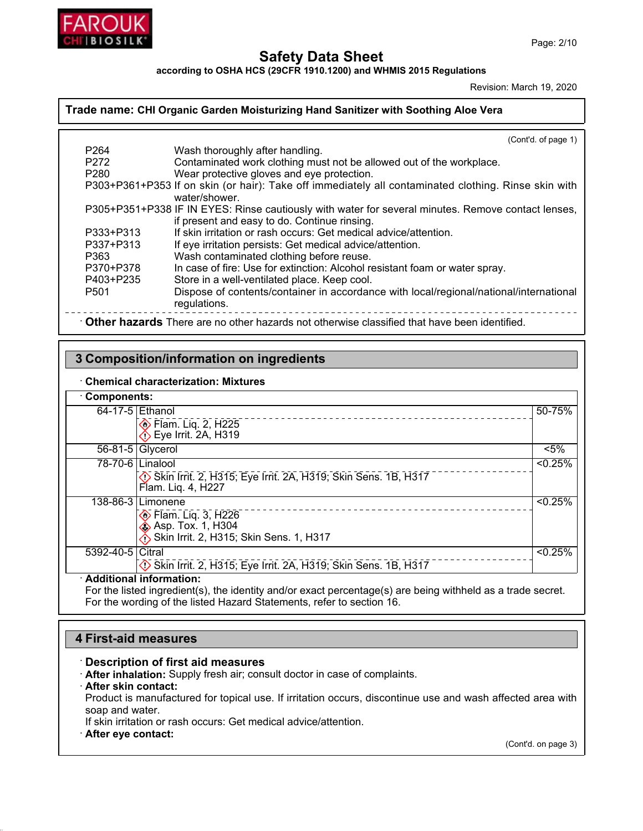

**according to OSHA HCS (29CFR 1910.1200) and WHMIS 2015 Regulations**

Created: March 19, 2020

### **Trade name: Biosilk Moisturizing Hand Sanitizer with Soothing Aloe Vera**

|                                                                                              | (Cont'd. of page 1)                                                                                                   |  |
|----------------------------------------------------------------------------------------------|-----------------------------------------------------------------------------------------------------------------------|--|
| P <sub>264</sub>                                                                             | Wash thoroughly after handling.                                                                                       |  |
| P <sub>272</sub>                                                                             | Contaminated work clothing must not be allowed out of the workplace.                                                  |  |
| P280                                                                                         | Wear protective gloves and eye protection.                                                                            |  |
|                                                                                              | P303+P361+P353 If on skin (or hair): Take off immediately all contaminated clothing. Rinse skin with<br>water/shower. |  |
|                                                                                              | P305+P351+P338 IF IN EYES: Rinse cautiously with water for several minutes. Remove contact lenses,                    |  |
|                                                                                              | if present and easy to do. Continue rinsing.                                                                          |  |
| P333+P313                                                                                    | If skin irritation or rash occurs: Get medical advice/attention.                                                      |  |
| P337+P313                                                                                    | If eye irritation persists: Get medical advice/attention.                                                             |  |
| P363                                                                                         | Wash contaminated clothing before reuse.                                                                              |  |
| P370+P378                                                                                    | In case of fire: Use for extinction: Alcohol resistant foam or water spray.                                           |  |
| P403+P235                                                                                    | Store in a well-ventilated place. Keep cool.                                                                          |  |
| P <sub>501</sub>                                                                             | Dispose of contents/container in accordance with local/regional/national/international<br>regulations.                |  |
| Other hazards There are no other hazards not otherwise classified that have been identified. |                                                                                                                       |  |

### **3 Composition/information on ingredients**

### ꞏ **Chemical characterization: Mixtures**

| Components:               |                                                                                                                             |                     |
|---------------------------|-----------------------------------------------------------------------------------------------------------------------------|---------------------|
| $64-17-5$ Ethanol         |                                                                                                                             | -75%Z               |
|                           | Elam. Liq. 2, H225<br>← Eye Irrit. 2A, H319                                                                                 | <b>1</b> 77-84% v/v |
|                           | 56-81-5 Glycerol                                                                                                            | $< 5\%$             |
|                           | $\overline{78-70-6}$ Linalool<br>Skin Irrit. 2, H315; Eye Irrit. 2A, H319; Skin Sens. 1B, H317<br>Flam. Liq. 4, H227        | < 0.25%             |
|                           | 138-86-3 Limonene<br><b>♦ Flam. Liq. 3, H226</b><br><b>Ex.</b> Asp. Tox. 1, H304<br>Skin Irrit. 2, H315; Skin Sens. 1, H317 | < 0.25%             |
| 5392-40-5   Citral        | Skin Irrit. 2, H315; Eye Irrit. 2A, H319; Skin Sens. 1B, H317                                                               | < 0.25%             |
| · Additional information: |                                                                                                                             |                     |

For the listed ingredient(s), the identity and/or exact percentage(s) are being withheld as a trade secret. For the wording of the listed Hazard Statements, refer to section 16.

### **4 First-aid measures**

#### ꞏ **Description of first aid measures**

- ꞏ **After inhalation:** Supply fresh air; consult doctor in case of complaints.
- ꞏ **After skin contact:**
- Product is manufactured for topical use. If irritation occurs, discontinue use and wash affected area with soap and water.
- If skin irritation or rash occurs: Get medical advice/attention.
- ꞏ **After eye contact:**

(Cont'd. on page 3)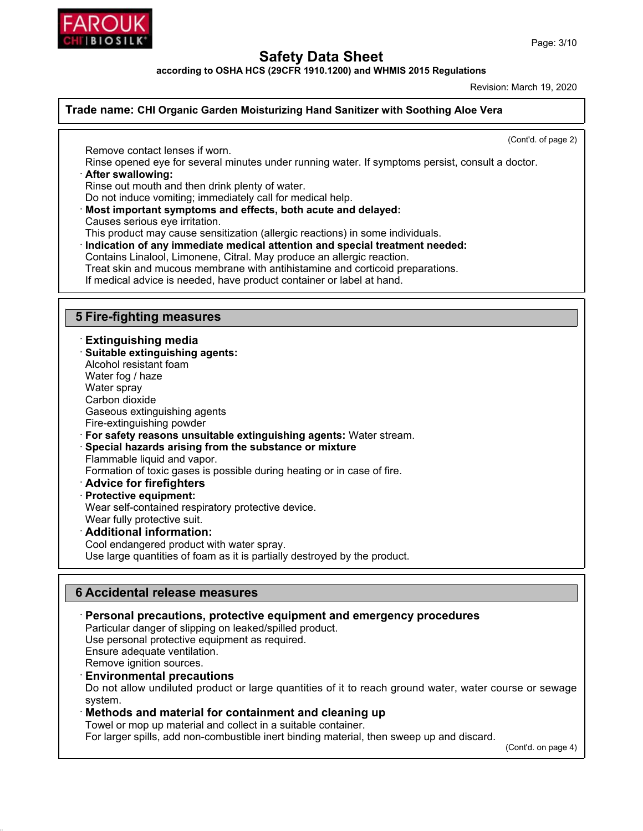

**according to OSHA HCS (29CFR 1910.1200) and WHMIS 2015 Regulations**

Created: March 19, 2020

(Cont'd. of page 2)

#### **Trade name: Biosilk Moisturizing Hand Sanitizer with Soothing Aloe Vera**

Remove contact lenses if worn.

Rinse opened eye for several minutes under running water. If symptoms persist, consult a doctor. ꞏ **After swallowing:**

Rinse out mouth and then drink plenty of water.

Do not induce vomiting; immediately call for medical help.

ꞏ **Most important symptoms and effects, both acute and delayed:** Causes serious eye irritation.

This product may cause sensitization (allergic reactions) in some individuals.

ꞏ **Indication of any immediate medical attention and special treatment needed:** Contains Linalool, Limonene, Citral. May produce an allergic reaction. Treat skin and mucous membrane with antihistamine and corticoid preparations. If medical advice is needed, have product container or label at hand.

### **5 Fire-fighting measures**

### ꞏ **Extinguishing media**

ꞏ **Suitable extinguishing agents:** Alcohol resistant foam Water fog / haze Water spray Carbon dioxide Gaseous extinguishing agents Fire-extinguishing powder ꞏ **For safety reasons unsuitable extinguishing agents:** Water stream. ꞏ **Special hazards arising from the substance or mixture** Flammable liquid and vapor. Formation of toxic gases is possible during heating or in case of fire. ꞏ **Advice for firefighters** ꞏ **Protective equipment:**

Wear self-contained respiratory protective device.

Wear fully protective suit.

### ꞏ **Additional information:**

Cool endangered product with water spray. Use large quantities of foam as it is partially destroyed by the product.

### **6 Accidental release measures**

ꞏ **Personal precautions, protective equipment and emergency procedures**

Particular danger of slipping on leaked/spilled product.

Use personal protective equipment as required.

Ensure adequate ventilation.

Remove ignition sources.

#### ꞏ **Environmental precautions**

Do not allow undiluted product or large quantities of it to reach ground water, water course or sewage system.

### ꞏ **Methods and material for containment and cleaning up**

Towel or mop up material and collect in a suitable container.

For larger spills, add non-combustible inert binding material, then sweep up and discard.

(Cont'd. on page 4)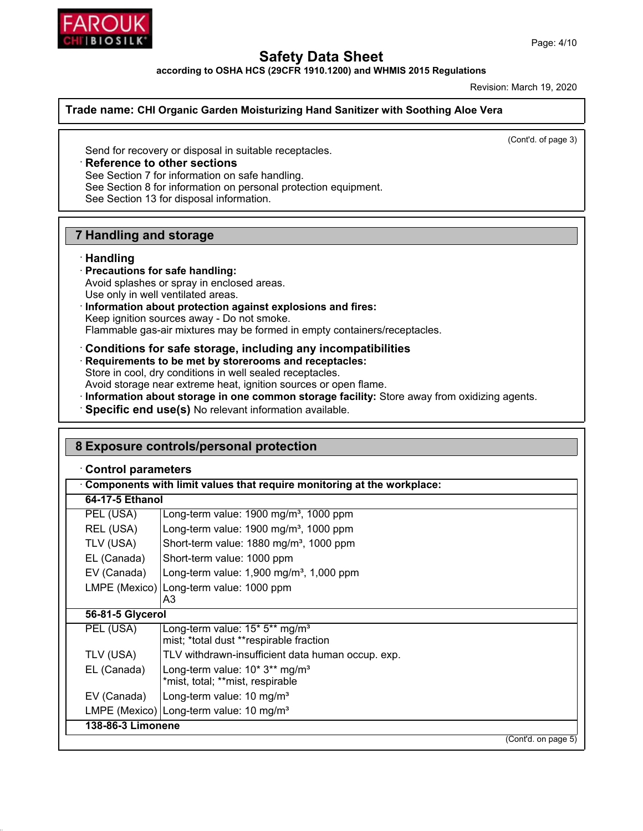



**according to OSHA HCS (29CFR 1910.1200) and WHMIS 2015 Regulations**

Created: March 19, 2020

### **Trade name: Biosilk Moisturizing Hand Sanitizer with Soothing Aloe Vera**

(Cont'd. of page 3)

Send for recovery or disposal in suitable receptacles.

### ꞏ **Reference to other sections**

See Section 7 for information on safe handling.

See Section 8 for information on personal protection equipment.

See Section 13 for disposal information.

### **7 Handling and storage**

### ꞏ **Handling**

### ꞏ **Precautions for safe handling:**

- Avoid splashes or spray in enclosed areas.
- Use only in well ventilated areas.
- ꞏ **Information about protection against explosions and fires:** Keep ignition sources away - Do not smoke. Flammable gas-air mixtures may be formed in empty containers/receptacles.
- ꞏ **Conditions for safe storage, including any incompatibilities** ꞏ **Requirements to be met by storerooms and receptacles:** Store in cool, dry conditions in well sealed receptacles. Avoid storage near extreme heat, ignition sources or open flame.
- ꞏ **Information about storage in one common storage facility:** Store away from oxidizing agents.
- ꞏ **Specific end use(s)** No relevant information available.

| 8 Exposure controls/personal protection                                        |                                                                                       |  |  |
|--------------------------------------------------------------------------------|---------------------------------------------------------------------------------------|--|--|
| <b>Control parameters</b>                                                      |                                                                                       |  |  |
| $\cdot$ Components with limit values that require monitoring at the workplace: |                                                                                       |  |  |
| 64-17-5 Ethanol                                                                |                                                                                       |  |  |
| PEL (USA)                                                                      | Long-term value: 1900 mg/m <sup>3</sup> , 1000 ppm                                    |  |  |
| REL (USA)                                                                      | Long-term value: 1900 mg/m <sup>3</sup> , 1000 ppm                                    |  |  |
| TLV (USA)                                                                      | Short-term value: 1880 mg/m <sup>3</sup> , 1000 ppm                                   |  |  |
| EL (Canada)                                                                    | Short-term value: 1000 ppm                                                            |  |  |
| EV (Canada)                                                                    | Long-term value: $1,900$ mg/m <sup>3</sup> , $1,000$ ppm                              |  |  |
|                                                                                | LMPE (Mexico)   Long-term value: 1000 ppm<br>A3                                       |  |  |
|                                                                                | 56-81-5 Glycerol                                                                      |  |  |
| PEL (USA)                                                                      | Long-term value: 15* 5** mg/m <sup>3</sup><br>mist; *total dust **respirable fraction |  |  |
| TLV (USA)                                                                      | TLV withdrawn-insufficient data human occup. exp.                                     |  |  |
| EL (Canada)                                                                    | Long-term value: $10* 3**$ mg/m <sup>3</sup><br>*mist, total; **mist, respirable      |  |  |
| EV (Canada)                                                                    | Long-term value: 10 mg/m <sup>3</sup>                                                 |  |  |
|                                                                                | LMPE (Mexico) Long-term value: 10 mg/m <sup>3</sup>                                   |  |  |
| 138-86-3 Limonene                                                              |                                                                                       |  |  |
|                                                                                | $\overline{(Cont'd. on page 5)}$                                                      |  |  |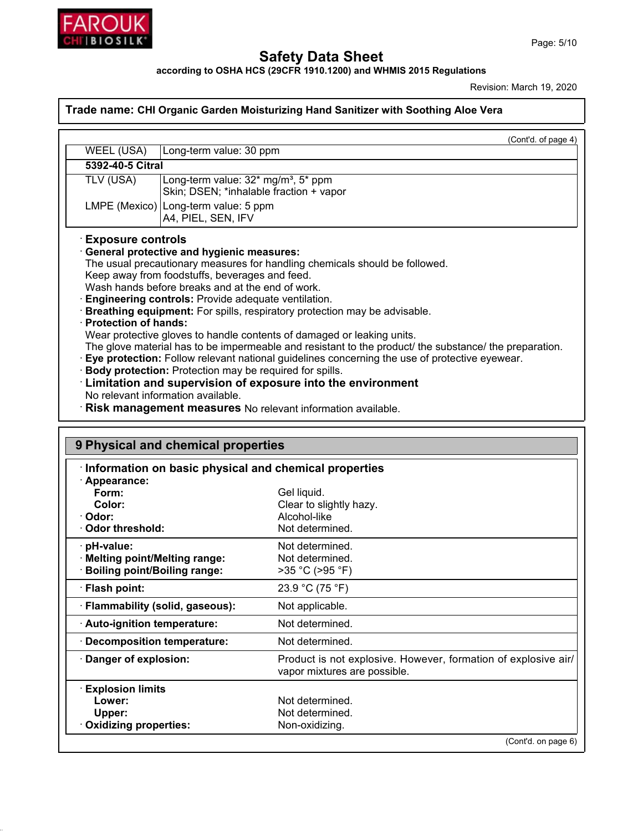

**according to OSHA HCS (29CFR 1910.1200) and WHMIS 2015 Regulations**

Created: March 19, 2020

### **Trade name: Biosilk Moisturizing Hand Sanitizer with Soothing Aloe Vera**

|                                                                                                        | (Cont'd. of page 4)                                                                            |  |  |
|--------------------------------------------------------------------------------------------------------|------------------------------------------------------------------------------------------------|--|--|
| WEEL (USA)                                                                                             | Long-term value: 30 ppm                                                                        |  |  |
|                                                                                                        | 5392-40-5 Citral                                                                               |  |  |
| TLV (USA)                                                                                              | Long-term value: $32*$ mg/m <sup>3</sup> , $5*$ ppm<br>Skin; DSEN; *inhalable fraction + vapor |  |  |
|                                                                                                        | LMPE (Mexico) Long-term value: 5 ppm<br>A4, PIEL, SEN, IFV                                     |  |  |
| <b>Exposure controls</b>                                                                               |                                                                                                |  |  |
|                                                                                                        | General protective and hygienic measures:                                                      |  |  |
|                                                                                                        | The usual precautionary measures for handling chemicals should be followed.                    |  |  |
|                                                                                                        | Keep away from foodstuffs, beverages and feed.                                                 |  |  |
|                                                                                                        | Wash hands before breaks and at the end of work.                                               |  |  |
|                                                                                                        | <b>Engineering controls:</b> Provide adequate ventilation.                                     |  |  |
|                                                                                                        | <b>Breathing equipment:</b> For spills, respiratory protection may be advisable.               |  |  |
|                                                                                                        | · Protection of hands:                                                                         |  |  |
|                                                                                                        | Wear protective gloves to handle contents of damaged or leaking units.                         |  |  |
| The glove material has to be impermeable and resistant to the product/ the substance/ the preparation. |                                                                                                |  |  |
| Eye protection: Follow relevant national guidelines concerning the use of protective eyewear.          |                                                                                                |  |  |
| Body protection: Protection may be required for spills.                                                |                                                                                                |  |  |
| <b>Limitation and supervision of exposure into the environment</b>                                     |                                                                                                |  |  |
| No relevant information available.                                                                     |                                                                                                |  |  |
| Risk management measures No relevant information available.                                            |                                                                                                |  |  |
|                                                                                                        |                                                                                                |  |  |

| Information on basic physical and chemical properties |                                                                                                |  |  |
|-------------------------------------------------------|------------------------------------------------------------------------------------------------|--|--|
| · Appearance:<br>Form:                                | Gel liquid.                                                                                    |  |  |
| Color:                                                | Clear to slightly hazy.                                                                        |  |  |
| · Odor:                                               | Alcohol-like                                                                                   |  |  |
| ⋅ Odor threshold:                                     | Not determined.                                                                                |  |  |
| $\cdot$ pH-value:                                     | Not determined.                                                                                |  |  |
| · Melting point/Melting range:                        | Not determined.                                                                                |  |  |
| <b>Boiling point/Boiling range:</b>                   | >35 °C (>95 °F)                                                                                |  |  |
| · Flash point:                                        | 23.9 °C (75 °F)                                                                                |  |  |
| · Flammability (solid, gaseous):                      | Not applicable.                                                                                |  |  |
| · Auto-ignition temperature:                          | Not determined.                                                                                |  |  |
| · Decomposition temperature:                          | Not determined.                                                                                |  |  |
| · Danger of explosion:                                | Product is not explosive. However, formation of explosive air/<br>vapor mixtures are possible. |  |  |
| <b>Explosion limits</b>                               |                                                                                                |  |  |
| Lower:                                                | Not determined.                                                                                |  |  |
| Upper:                                                | Not determined.                                                                                |  |  |
| Oxidizing properties:                                 | Non-oxidizing.                                                                                 |  |  |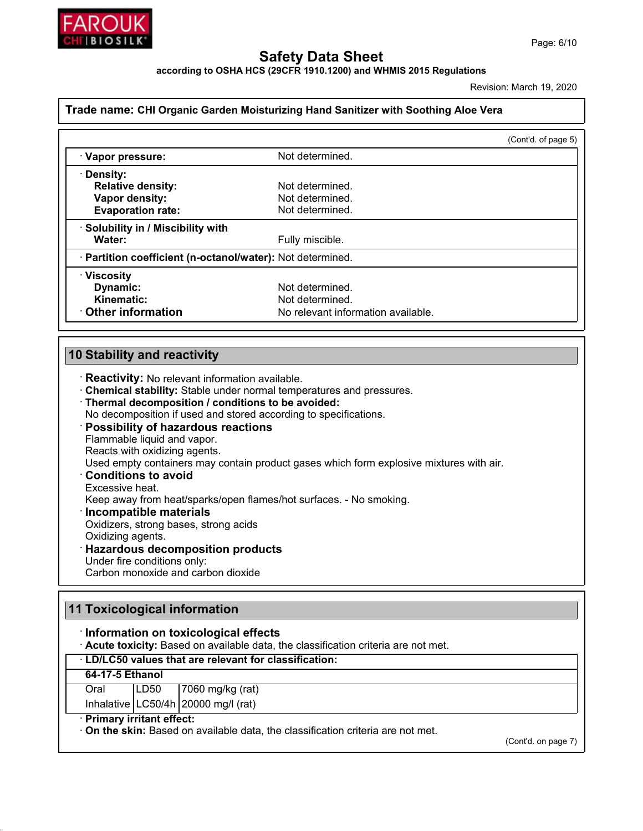

**according to OSHA HCS (29CFR 1910.1200) and WHMIS 2015 Regulations**

Created: March 19, 2020

#### **Trade name: Biosilk Moisturizing Hand Sanitizer with Soothing Aloe Vera**

|                                                            |                                    | (Cont'd. of page 5) |
|------------------------------------------------------------|------------------------------------|---------------------|
| · Vapor pressure:                                          | Not determined.                    |                     |
| · Density:                                                 |                                    |                     |
| <b>Relative density:</b>                                   | Not determined.                    |                     |
| Vapor density:                                             | Not determined.                    |                     |
| <b>Evaporation rate:</b>                                   | Not determined.                    |                     |
| · Solubility in / Miscibility with                         |                                    |                     |
| Water:                                                     | Fully miscible.                    |                     |
| · Partition coefficient (n-octanol/water): Not determined. |                                    |                     |
| $\cdot$ Viscosity                                          |                                    |                     |
| Dynamic:                                                   | Not determined.                    |                     |
| Kinematic:                                                 | Not determined.                    |                     |
| Other information                                          | No relevant information available. |                     |

### **10 Stability and reactivity**

- ꞏ **Reactivity:** No relevant information available.
- ꞏ **Chemical stability:** Stable under normal temperatures and pressures.
- ꞏ **Thermal decomposition / conditions to be avoided:**
- No decomposition if used and stored according to specifications.

#### ꞏ **Possibility of hazardous reactions**

Flammable liquid and vapor. Reacts with oxidizing agents. Used empty containers may contain product gases which form explosive mixtures with air. ꞏ **Conditions to avoid**

# Excessive heat.

Keep away from heat/sparks/open flames/hot surfaces. - No smoking.

#### ꞏ **Incompatible materials**

Oxidizers, strong bases, strong acids

Oxidizing agents.

### ꞏ **Hazardous decomposition products**

Under fire conditions only:

Carbon monoxide and carbon dioxide

### **11 Toxicological information**

### ꞏ **Information on toxicological effects**

ꞏ **Acute toxicity:** Based on available data, the classification criteria are not met.

### ꞏ **LD/LC50 values that are relevant for classification:**

### **64-17-5 Ethanol**

Oral LD50 7060 mg/kg (rat) Inhalative LC50/4h 20000 mg/l (rat)

### ꞏ **Primary irritant effect:**

ꞏ **On the skin:** Based on available data, the classification criteria are not met.

(Cont'd. on page 7)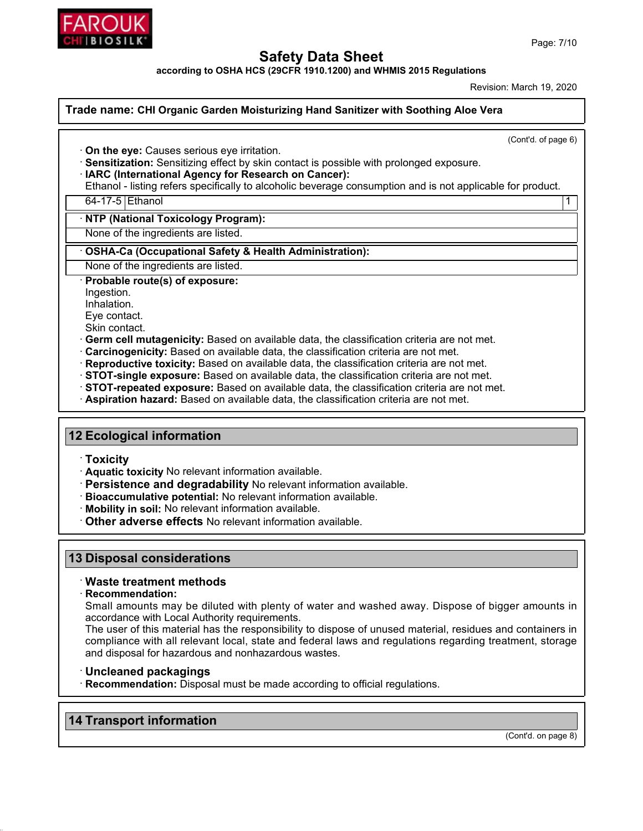

**according to OSHA HCS (29CFR 1910.1200) and WHMIS 2015 Regulations**

Created: March 19, 2020

### **Trade name: Biosilk Moisturizing Hand Sanitizer with Soothing Aloe Vera**

(Cont'd. of page 6)

ꞏ **On the eye:** Causes serious eye irritation.

ꞏ **Sensitization:** Sensitizing effect by skin contact is possible with prolonged exposure.

ꞏ **IARC (International Agency for Research on Cancer):**

Ethanol - listing refers specifically to alcoholic beverage consumption and is not applicable for product.

64-17-5 Ethanol 1

ꞏ **NTP (National Toxicology Program):**

None of the ingredients are listed.

ꞏ **OSHA-Ca (Occupational Safety & Health Administration):**

None of the ingredients are listed.

ꞏ **Probable route(s) of exposure:**

Ingestion.

Inhalation.

Eye contact.

Skin contact.

ꞏ **Germ cell mutagenicity:** Based on available data, the classification criteria are not met.

- ꞏ **Carcinogenicity:** Based on available data, the classification criteria are not met.
- ꞏ **Reproductive toxicity:** Based on available data, the classification criteria are not met.
- ꞏ **STOT-single exposure:** Based on available data, the classification criteria are not met.
- ꞏ **STOT-repeated exposure:** Based on available data, the classification criteria are not met.

ꞏ **Aspiration hazard:** Based on available data, the classification criteria are not met.

### **12 Ecological information**

ꞏ **Toxicity**

ꞏ **Aquatic toxicity** No relevant information available.

- ꞏ **Persistence and degradability** No relevant information available.
- ꞏ **Bioaccumulative potential:** No relevant information available.
- ꞏ **Mobility in soil:** No relevant information available.

ꞏ **Other adverse effects** No relevant information available.

### **13 Disposal considerations**

### ꞏ **Waste treatment methods**

ꞏ **Recommendation:**

Small amounts may be diluted with plenty of water and washed away. Dispose of bigger amounts in accordance with Local Authority requirements.

The user of this material has the responsibility to dispose of unused material, residues and containers in compliance with all relevant local, state and federal laws and regulations regarding treatment, storage and disposal for hazardous and nonhazardous wastes.

### ꞏ **Uncleaned packagings**

ꞏ **Recommendation:** Disposal must be made according to official regulations.

### **14 Transport information**

(Cont'd. on page 8)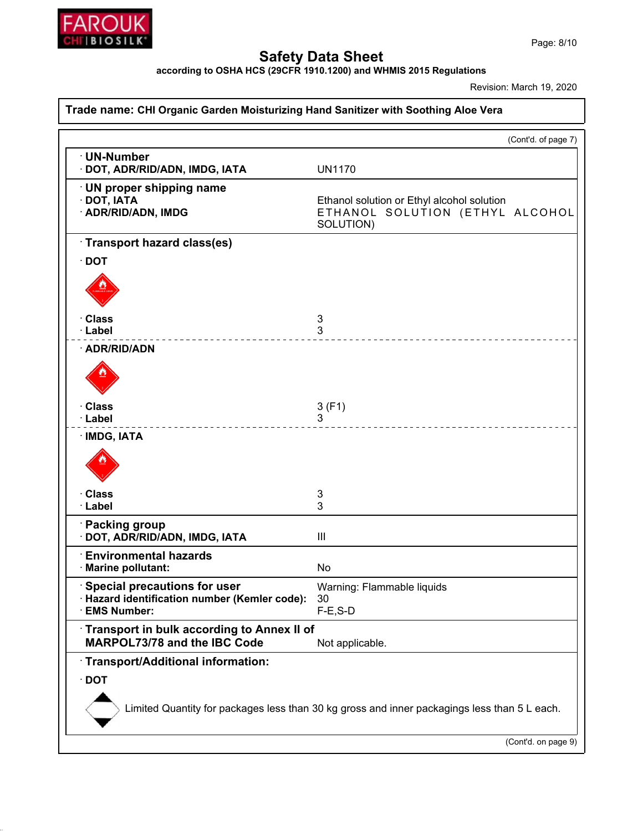

**according to OSHA HCS (29CFR 1910.1200) and WHMIS 2015 Regulations**

Created: March 19, 2020

### **Trade name: Biosilk Moisturizing Hand Sanitizer with Soothing Aloe Vera**

|                                                                                                             | (Cont'd. of page 7)                                                                        |  |  |
|-------------------------------------------------------------------------------------------------------------|--------------------------------------------------------------------------------------------|--|--|
| · UN-Number<br>· DOT, ADR/RID/ADN, IMDG, IATA                                                               | <b>UN1170</b>                                                                              |  |  |
| $\cdot$ UN proper shipping name<br>· DOT, IATA<br>· ADR/RID/ADN, IMDG                                       | Ethanol solution or Ethyl alcohol solution<br>ETHANOL SOLUTION (ETHYL ALCOHOL<br>SOLUTION) |  |  |
| Transport hazard class(es)                                                                                  |                                                                                            |  |  |
| $\cdot$ DOT                                                                                                 |                                                                                            |  |  |
|                                                                                                             |                                                                                            |  |  |
| · Class<br>· Label                                                                                          | 3<br>3                                                                                     |  |  |
| · ADR/RID/ADN                                                                                               |                                                                                            |  |  |
|                                                                                                             |                                                                                            |  |  |
| · Class<br>· Label                                                                                          | 3(F1)<br>3                                                                                 |  |  |
| · IMDG, IATA                                                                                                |                                                                                            |  |  |
|                                                                                                             |                                                                                            |  |  |
| · Class<br>· Label                                                                                          | 3<br>3                                                                                     |  |  |
|                                                                                                             |                                                                                            |  |  |
| · Packing group<br>· DOT, ADR/RID/ADN, IMDG, IATA                                                           | Ш                                                                                          |  |  |
| $\cdot$ Environmental hazards<br>· Marine pollutant:                                                        | No                                                                                         |  |  |
| <b>Special precautions for user</b><br>· Hazard identification number (Kemler code):<br><b>EMS Number:</b>  | Warning: Flammable liquids<br>30<br>$F-E$ , S-D                                            |  |  |
| Transport in bulk according to Annex II of<br><b>MARPOL73/78 and the IBC Code</b>                           | Not applicable.                                                                            |  |  |
| Transport/Additional information:                                                                           |                                                                                            |  |  |
| $\cdot$ DOT<br>Limited Quantity for packages less than 30 kg gross and inner packagings less than 5 L each. |                                                                                            |  |  |
|                                                                                                             | (Cont'd. on page 9)                                                                        |  |  |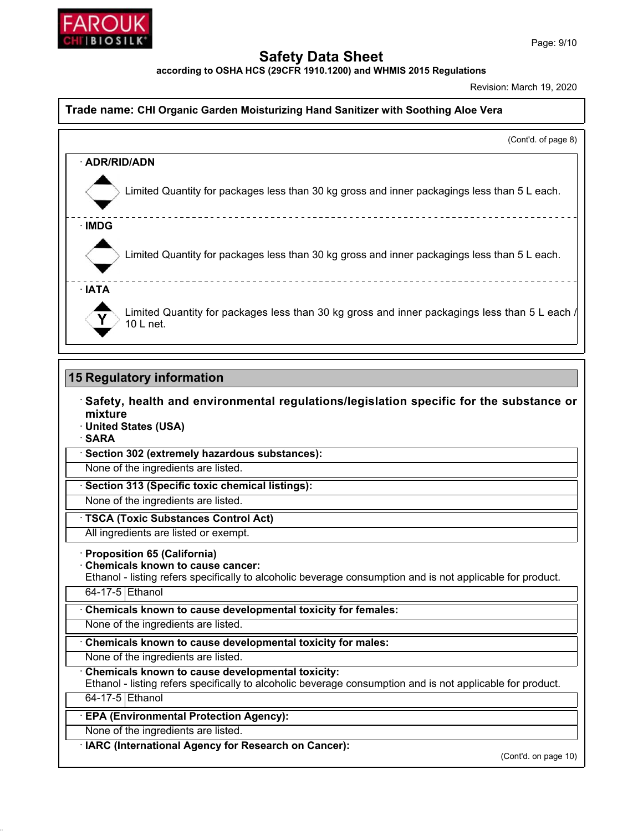

**according to OSHA HCS (29CFR 1910.1200) and WHMIS 2015 Regulations**

Created: March 19, 2020

### **Trade name: Biosilk Moisturizing Hand Sanitizer with Soothing Aloe Vera**

(Cont'd. of page 8) ꞏ **ADR/RID/ADN** Limited Quantity for packages less than 30 kg gross and inner packagings less than 5 L each. ꞏ **IMDG** Limited Quantity for packages less than 30 kg gross and inner packagings less than 5 L each. \_ \_ \_ \_ \_ \_ \_ \_ \_ \_ \_ \_ \_ \_ ꞏ **IATA** Limited Quantity for packages less than 30 kg gross and inner packagings less than 5 L each, 10 L net.

### **15 Regulatory information**

ꞏ **Safety, health and environmental regulations/legislation specific for the substance or mixture**

- ꞏ **United States (USA)**
- ꞏ **SARA**

ꞏ **Section 302 (extremely hazardous substances):**

None of the ingredients are listed.

ꞏ **Section 313 (Specific toxic chemical listings):**

None of the ingredients are listed.

ꞏ **TSCA (Toxic Substances Control Act)**

All ingredients are listed or exempt.

#### ꞏ **Proposition 65 (California)**

ꞏ **Chemicals known to cause cancer:**

Ethanol - listing refers specifically to alcoholic beverage consumption and is not applicable for product.

64-17-5 Ethanol

ꞏ **Chemicals known to cause developmental toxicity for females:**

None of the ingredients are listed.

ꞏ **Chemicals known to cause developmental toxicity for males:**

None of the ingredients are listed.

ꞏ **Chemicals known to cause developmental toxicity:**

Ethanol - listing refers specifically to alcoholic beverage consumption and is not applicable for product. 64-17-5 Ethanol

ꞏ **EPA (Environmental Protection Agency):**

None of the ingredients are listed.

ꞏ **IARC (International Agency for Research on Cancer):**

(Cont'd. on page 10)